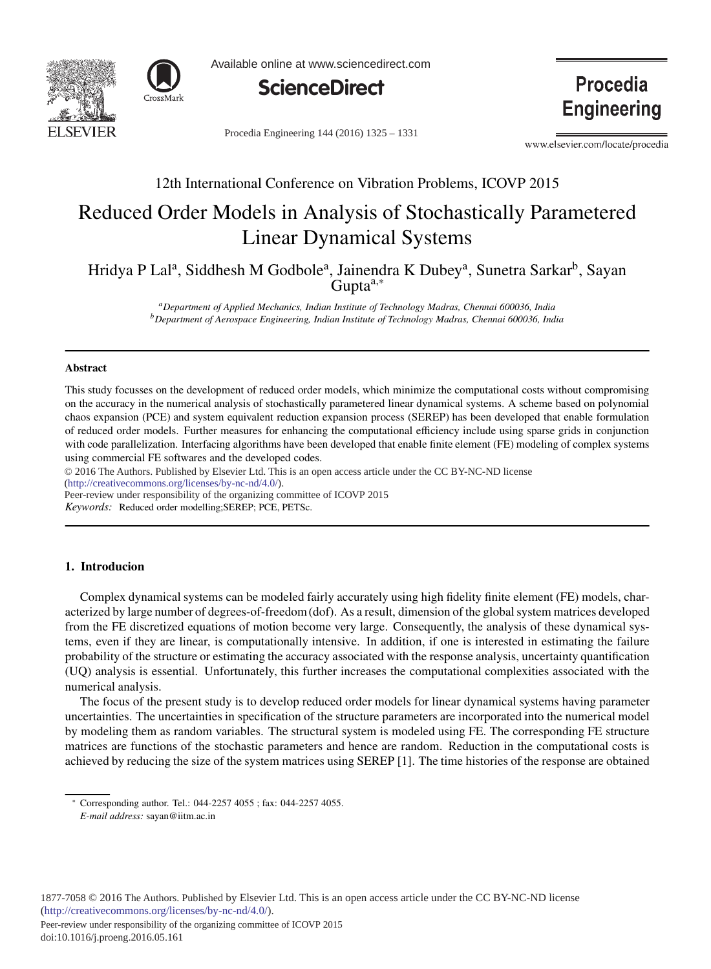



Available online at www.sciencedirect.com



Procedia Engineering 144 (2016) 1325 - 1331

**Engineering** 

**Procedia** 

www.elsevier.com/locate/procedia

# 12th International Conference on Vibration Problems, ICOVP 2015

# Reduced Order Models in Analysis of Stochastically Parametered Linear Dynamical Systems

Hridya P Lal<sup>a</sup>, Siddhesh M Godbole<sup>a</sup>, Jainendra K Dubey<sup>a</sup>, Sunetra Sarkar<sup>b</sup>, Sayan  $G$ upta $a,*$ 

> *aDepartment of Applied Mechanics, Indian Institute of Technology Madras, Chennai 600036, India bDepartment of Aerospace Engineering, Indian Institute of Technology Madras, Chennai 600036, India*

#### Abstract

This study focusses on the development of reduced order models, which minimize the computational costs without compromising on the accuracy in the numerical analysis of stochastically parametered linear dynamical systems. A scheme based on polynomial chaos expansion (PCE) and system equivalent reduction expansion process (SEREP) has been developed that enable formulation of reduced order models. Further measures for enhancing the computational efficiency include using sparse grids in conjunction with code parallelization. Interfacing algorithms have been developed that enable finite element (FE) modeling of complex systems using commercial FE softwares and the developed codes.

c 2016 The Authors. Published by Elsevier Ltd. © 2016 The Authors. Published by Elsevier Ltd. This is an open access article under the CC BY-NC-ND license (http://creativecommons.org/licenses/by-nc-nd/4.0/).

Peer-review under responsibility of the organizing committee of ICOVP 2015

*Keywords:* Reduced order modelling;SEREP; PCE, PETSc.

## 1. Introducion

Complex dynamical systems can be modeled fairly accurately using high fidelity finite element (FE) models, characterized by large number of degrees-of-freedom (dof). As a result, dimension of the global system matrices developed from the FE discretized equations of motion become very large. Consequently, the analysis of these dynamical systems, even if they are linear, is computationally intensive. In addition, if one is interested in estimating the failure probability of the structure or estimating the accuracy associated with the response analysis, uncertainty quantification (UQ) analysis is essential. Unfortunately, this further increases the computational complexities associated with the numerical analysis.

The focus of the present study is to develop reduced order models for linear dynamical systems having parameter uncertainties. The uncertainties in specification of the structure parameters are incorporated into the numerical model by modeling them as random variables. The structural system is modeled using FE. The corresponding FE structure matrices are functions of the stochastic parameters and hence are random. Reduction in the computational costs is achieved by reducing the size of the system matrices using SEREP [1]. The time histories of the response are obtained

Peer-review under responsibility of the organizing committee of ICOVP 2015

<sup>∗</sup> Corresponding author. Tel.: 044-2257 4055 ; fax: 044-2257 4055.

*E-mail address:* sayan@iitm.ac.in

doi: 10.1016/j.proeng.2016.05.161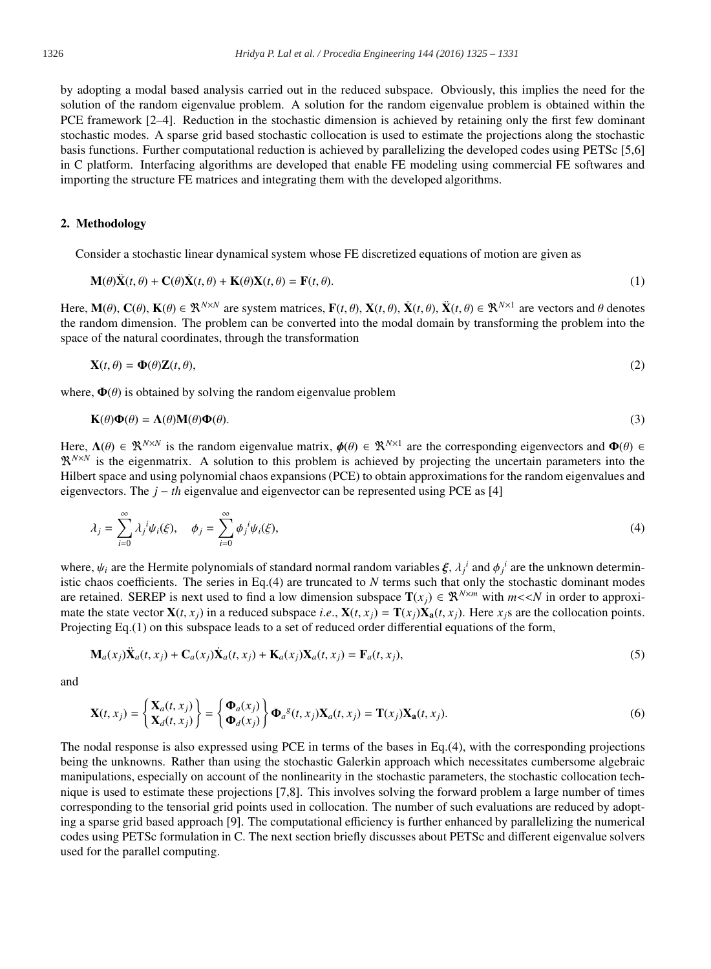by adopting a modal based analysis carried out in the reduced subspace. Obviously, this implies the need for the solution of the random eigenvalue problem. A solution for the random eigenvalue problem is obtained within the PCE framework [2–4]. Reduction in the stochastic dimension is achieved by retaining only the first few dominant stochastic modes. A sparse grid based stochastic collocation is used to estimate the projections along the stochastic basis functions. Further computational reduction is achieved by parallelizing the developed codes using PETSc [5,6] in C platform. Interfacing algorithms are developed that enable FE modeling using commercial FE softwares and importing the structure FE matrices and integrating them with the developed algorithms.

### 2. Methodology

Consider a stochastic linear dynamical system whose FE discretized equations of motion are given as

$$
\mathbf{M}(\theta)\ddot{\mathbf{X}}(t,\theta) + \mathbf{C}(\theta)\dot{\mathbf{X}}(t,\theta) + \mathbf{K}(\theta)\mathbf{X}(t,\theta) = \mathbf{F}(t,\theta).
$$
\n(1)

Here,  $\mathbf{M}(\theta)$ ,  $\mathbf{C}(\theta)$ ,  $\mathbf{K}(\theta) \in \mathbb{R}^{N \times N}$  are system matrices,  $\mathbf{F}(t, \theta)$ ,  $\mathbf{X}(t, \theta)$ ,  $\mathbf{X}(t, \theta) \in \mathbb{R}^{N \times 1}$  are vectors and  $\theta$  denotes the random dimension. The problem can be converted into the modal domain by transforming the problem into the space of the natural coordinates, through the transformation

$$
\mathbf{X}(t,\theta) = \mathbf{\Phi}(\theta)\mathbf{Z}(t,\theta),\tag{2}
$$

where,  $\Phi(\theta)$  is obtained by solving the random eigenvalue problem

$$
\mathbf{K}(\theta)\mathbf{\Phi}(\theta) = \mathbf{\Lambda}(\theta)\mathbf{M}(\theta)\mathbf{\Phi}(\theta). \tag{3}
$$

Here,  $\Lambda(\theta) \in \mathbb{R}^{N \times N}$  is the random eigenvalue matrix,  $\phi(\theta) \in \mathbb{R}^{N \times 1}$  are the corresponding eigenvectors and  $\Phi(\theta) \in$  $\mathbb{R}^{N\times N}$  is the eigenmatrix. A solution to this problem is achieved by projecting the uncertain parameters into the Hilbert space and using polynomial chaos expansions (PCE) to obtain approximations for the random eigenvalues and eigenvectors. The *j* − *th* eigenvalue and eigenvector can be represented using PCE as [4]

$$
\lambda_j = \sum_{i=0}^{\infty} \lambda_j^i \psi_i(\xi), \quad \phi_j = \sum_{i=0}^{\infty} \phi_j^i \psi_i(\xi), \tag{4}
$$

where,  $\psi_i$  are the Hermite polynomials of standard normal random variables  $\xi$ ,  $\lambda_j^i$  and  $\phi_j^i$  are the unknown deterministic chaos coefficients. The series in Eq.(4) are truncated to *N* terms such that only the stochastic dominant modes are retained. SEREP is next used to find a low dimension subspace  $T(x_i) \in \mathbb{R}^{N \times m}$  with  $m \ll N$  in order to approximate the state vector  $X(t, x_i)$  in a reduced subspace *i.e.*,  $X(t, x_i) = T(x_i)X_a(t, x_i)$ . Here  $x_i$  are the collocation points. Projecting Eq.(1) on this subspace leads to a set of reduced order differential equations of the form,

$$
\mathbf{M}_a(x_j)\ddot{\mathbf{X}}_a(t,x_j) + \mathbf{C}_a(x_j)\dot{\mathbf{X}}_a(t,x_j) + \mathbf{K}_a(x_j)\mathbf{X}_a(t,x_j) = \mathbf{F}_a(t,x_j),\tag{5}
$$

and

$$
\mathbf{X}(t,x_j) = \begin{cases} \mathbf{X}_a(t,x_j) \\ \mathbf{X}_d(t,x_j) \end{cases} = \begin{cases} \mathbf{\Phi}_a(x_j) \\ \mathbf{\Phi}_a(x_j) \end{cases} \mathbf{\Phi}_a^s(t,x_j) \mathbf{X}_a(t,x_j) = \mathbf{T}(x_j) \mathbf{X}_a(t,x_j). \tag{6}
$$

The nodal response is also expressed using PCE in terms of the bases in Eq.(4), with the corresponding projections being the unknowns. Rather than using the stochastic Galerkin approach which necessitates cumbersome algebraic manipulations, especially on account of the nonlinearity in the stochastic parameters, the stochastic collocation technique is used to estimate these projections [7,8]. This involves solving the forward problem a large number of times corresponding to the tensorial grid points used in collocation. The number of such evaluations are reduced by adopting a sparse grid based approach [9]. The computational efficiency is further enhanced by parallelizing the numerical codes using PETSc formulation in C. The next section briefly discusses about PETSc and different eigenvalue solvers used for the parallel computing.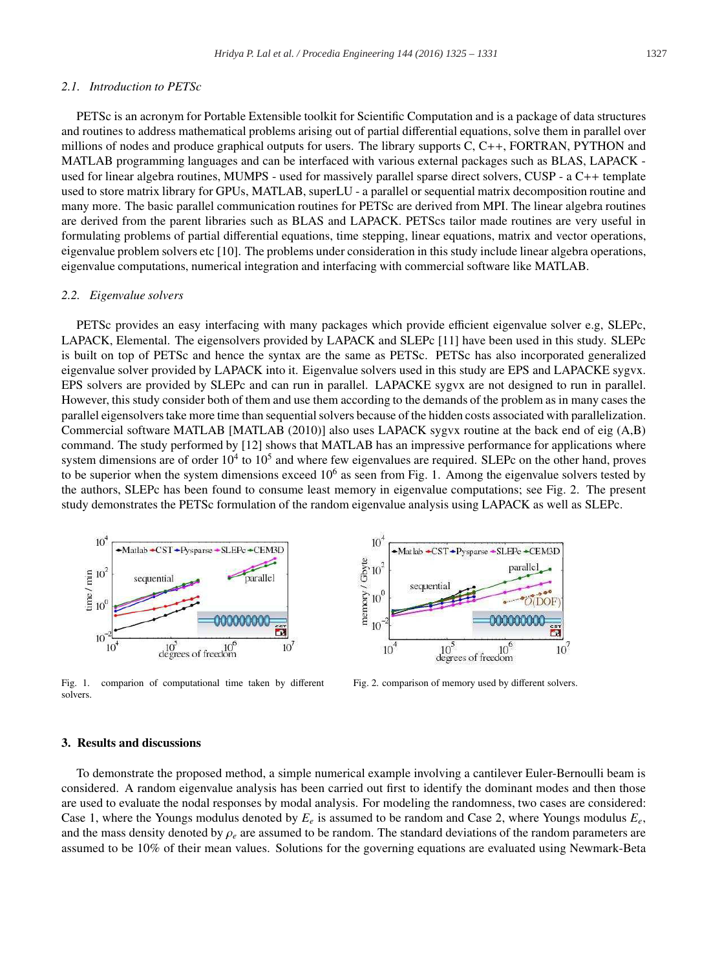#### *2.1. Introduction to PETSc*

PETSc is an acronym for Portable Extensible toolkit for Scientific Computation and is a package of data structures and routines to address mathematical problems arising out of partial differential equations, solve them in parallel over millions of nodes and produce graphical outputs for users. The library supports C, C++, FORTRAN, PYTHON and MATLAB programming languages and can be interfaced with various external packages such as BLAS, LAPACK used for linear algebra routines, MUMPS - used for massively parallel sparse direct solvers, CUSP - a C++ template used to store matrix library for GPUs, MATLAB, superLU - a parallel or sequential matrix decomposition routine and many more. The basic parallel communication routines for PETSc are derived from MPI. The linear algebra routines are derived from the parent libraries such as BLAS and LAPACK. PETScs tailor made routines are very useful in formulating problems of partial differential equations, time stepping, linear equations, matrix and vector operations, eigenvalue problem solvers etc [10]. The problems under consideration in this study include linear algebra operations, eigenvalue computations, numerical integration and interfacing with commercial software like MATLAB.

#### *2.2. Eigenvalue solvers*

PETSc provides an easy interfacing with many packages which provide efficient eigenvalue solver e.g, SLEPc, LAPACK, Elemental. The eigensolvers provided by LAPACK and SLEPc [11] have been used in this study. SLEPc is built on top of PETSc and hence the syntax are the same as PETSc. PETSc has also incorporated generalized eigenvalue solver provided by LAPACK into it. Eigenvalue solvers used in this study are EPS and LAPACKE sygvx. EPS solvers are provided by SLEPc and can run in parallel. LAPACKE sygvx are not designed to run in parallel. However, this study consider both of them and use them according to the demands of the problem as in many cases the parallel eigensolvers take more time than sequential solvers because of the hidden costs associated with parallelization. Commercial software MATLAB [MATLAB (2010)] also uses LAPACK sygvx routine at the back end of eig (A,B) command. The study performed by [12] shows that MATLAB has an impressive performance for applications where system dimensions are of order  $10<sup>4</sup>$  to  $10<sup>5</sup>$  and where few eigenvalues are required. SLEPc on the other hand, proves to be superior when the system dimensions exceed  $10<sup>6</sup>$  as seen from Fig. 1. Among the eigenvalue solvers tested by the authors, SLEPc has been found to consume least memory in eigenvalue computations; see Fig. 2. The present study demonstrates the PETSc formulation of the random eigenvalue analysis using LAPACK as well as SLEPc.



Fig. 1. comparion of computational time taken by different solvers.



Fig. 2. comparison of memory used by different solvers.

#### 3. Results and discussions

To demonstrate the proposed method, a simple numerical example involving a cantilever Euler-Bernoulli beam is considered. A random eigenvalue analysis has been carried out first to identify the dominant modes and then those are used to evaluate the nodal responses by modal analysis. For modeling the randomness, two cases are considered: Case 1, where the Youngs modulus denoted by *Ee* is assumed to be random and Case 2, where Youngs modulus *Ee*, and the mass density denoted by  $\rho_e$  are assumed to be random. The standard deviations of the random parameters are assumed to be 10% of their mean values. Solutions for the governing equations are evaluated using Newmark-Beta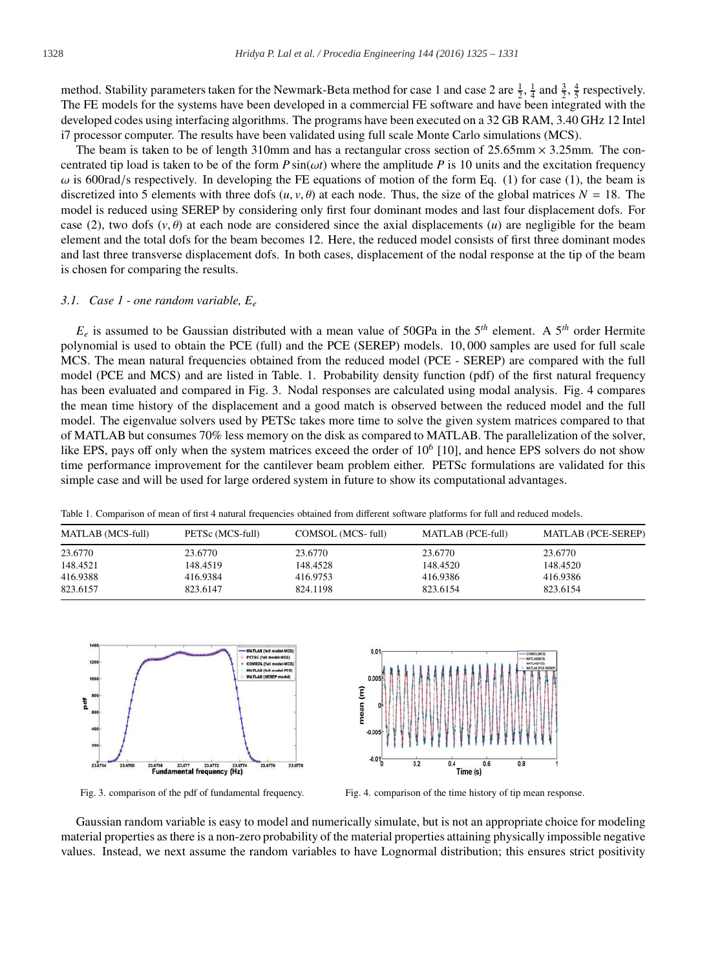method. Stability parameters taken for the Newmark-Beta method for case 1 and case 2 are  $\frac{1}{2}$ ,  $\frac{1}{4}$  and  $\frac{3}{2}$ ,  $\frac{4}{5}$  respectively. The FE models for the systems have been developed in a commercial FE software and have been integrated with the developed codes using interfacing algorithms. The programs have been executed on a 32 GB RAM, 3.40 GHz 12 Intel i7 processor computer. The results have been validated using full scale Monte Carlo simulations (MCS).

The beam is taken to be of length 310mm and has a rectangular cross section of  $25.65 \text{mm} \times 3.25 \text{mm}$ . The concentrated tip load is taken to be of the form  $P \sin(\omega t)$  where the amplitude  $P$  is 10 units and the excitation frequency  $\omega$  is 600rad/s respectively. In developing the FE equations of motion of the form Eq. (1) for case (1), the beam is discretized into 5 elements with three dofs  $(u, v, \theta)$  at each node. Thus, the size of the global matrices  $N = 18$ . The model is reduced using SEREP by considering only first four dominant modes and last four displacement dofs. For case (2), two dofs ( $v, \theta$ ) at each node are considered since the axial displacements (*u*) are negligible for the beam element and the total dofs for the beam becomes 12. Here, the reduced model consists of first three dominant modes and last three transverse displacement dofs. In both cases, displacement of the nodal response at the tip of the beam is chosen for comparing the results.

#### *3.1. Case 1 - one random variable, Ee*

 $E_e$  is assumed to be Gaussian distributed with a mean value of 50GPa in the 5<sup>th</sup> element. A 5<sup>th</sup> order Hermite polynomial is used to obtain the PCE (full) and the PCE (SEREP) models. 10, 000 samples are used for full scale MCS. The mean natural frequencies obtained from the reduced model (PCE - SEREP) are compared with the full model (PCE and MCS) and are listed in Table. 1. Probability density function (pdf) of the first natural frequency has been evaluated and compared in Fig. 3. Nodal responses are calculated using modal analysis. Fig. 4 compares the mean time history of the displacement and a good match is observed between the reduced model and the full model. The eigenvalue solvers used by PETSc takes more time to solve the given system matrices compared to that of MATLAB but consumes 70% less memory on the disk as compared to MATLAB. The parallelization of the solver, like EPS, pays off only when the system matrices exceed the order of  $10^6$  [10], and hence EPS solvers do not show time performance improvement for the cantilever beam problem either. PETSc formulations are validated for this simple case and will be used for large ordered system in future to show its computational advantages.

| <b>MATLAB</b> (MCS-full) | PETSc (MCS-full) | COMSOL (MCS-full) | MATLAB (PCE-full) | <b>MATLAB (PCE-SEREP)</b> |
|--------------------------|------------------|-------------------|-------------------|---------------------------|
| 23.6770                  | 23.6770          | 23.6770           | 23.6770           | 23.6770                   |
| 148.4521                 | 148.4519         | 148.4528          | 148.4520          | 148.4520                  |
| 416.9388                 | 416.9384         | 416.9753          | 416.9386          | 416.9386                  |
| 823.6157                 | 823.6147         | 824.1198          | 823.6154          | 823.6154                  |

Table 1. Comparison of mean of first 4 natural frequencies obtained from different software platforms for full and reduced models.





Fig. 3. comparison of the pdf of fundamental frequency. Fig. 4. comparison of the time history of tip mean response.

Gaussian random variable is easy to model and numerically simulate, but is not an appropriate choice for modeling material properties as there is a non-zero probability of the material properties attaining physically impossible negative values. Instead, we next assume the random variables to have Lognormal distribution; this ensures strict positivity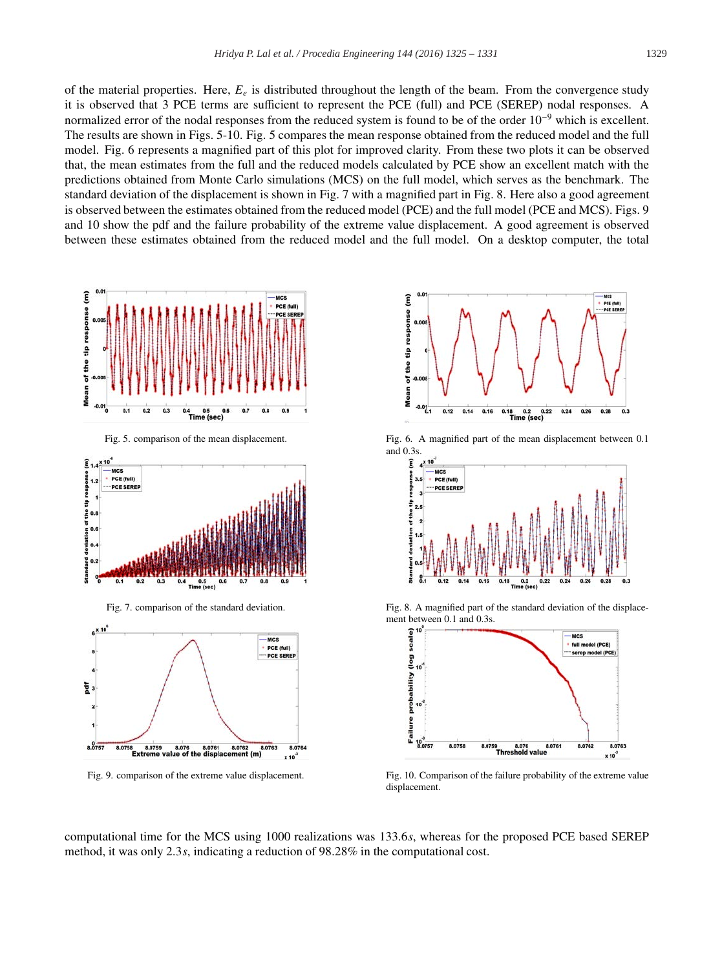of the material properties. Here,  $E_e$  is distributed throughout the length of the beam. From the convergence study it is observed that 3 PCE terms are sufficient to represent the PCE (full) and PCE (SEREP) nodal responses. A normalized error of the nodal responses from the reduced system is found to be of the order 10<sup>-9</sup> which is excellent. The results are shown in Figs. 5-10. Fig. 5 compares the mean response obtained from the reduced model and the full model. Fig. 6 represents a magnified part of this plot for improved clarity. From these two plots it can be observed that, the mean estimates from the full and the reduced models calculated by PCE show an excellent match with the predictions obtained from Monte Carlo simulations (MCS) on the full model, which serves as the benchmark. The standard deviation of the displacement is shown in Fig. 7 with a magnified part in Fig. 8. Here also a good agreement is observed between the estimates obtained from the reduced model (PCE) and the full model (PCE and MCS). Figs. 9 and 10 show the pdf and the failure probability of the extreme value displacement. A good agreement is observed between these estimates obtained from the reduced model and the full model. On a desktop computer, the total









Fig. 5. comparison of the mean displacement. Fig. 6. A magnified part of the mean displacement between 0.1 and 0.3s.



Fig. 7. comparison of the standard deviation. Fig. 8. A magnified part of the standard deviation of the displacement between 0.1 and 0.3s.



Fig. 9. comparison of the extreme value displacement. Fig. 10. Comparison of the failure probability of the extreme value displacement.

computational time for the MCS using 1000 realizations was 133.6*s*, whereas for the proposed PCE based SEREP method, it was only 2.3*s*, indicating a reduction of 98.28% in the computational cost.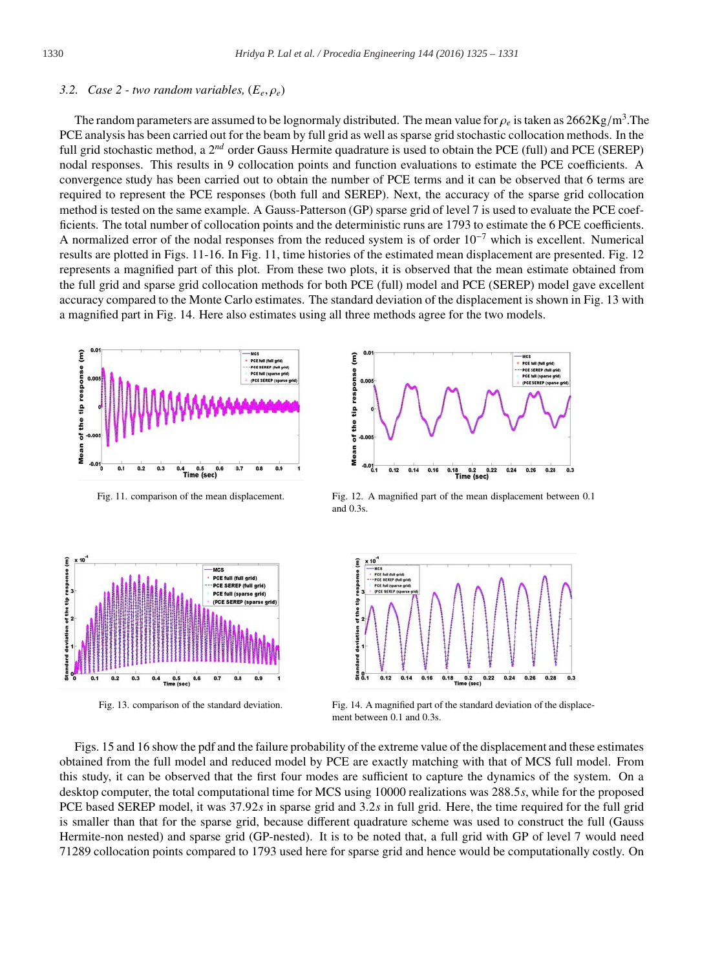#### *3.2. Case 2 - two random variables,* (*Ee*, ρ*e*)

The random parameters are assumed to be lognormaly distributed. The mean value for  $\rho_e$  is taken as  $2662\text{Kg/m}^3$ . The PCE analysis has been carried out for the beam by full grid as well as sparse grid stochastic collocation methods. In the full grid stochastic method, a 2<sup>nd</sup> order Gauss Hermite quadrature is used to obtain the PCE (full) and PCE (SEREP) nodal responses. This results in 9 collocation points and function evaluations to estimate the PCE coefficients. A convergence study has been carried out to obtain the number of PCE terms and it can be observed that 6 terms are required to represent the PCE responses (both full and SEREP). Next, the accuracy of the sparse grid collocation method is tested on the same example. A Gauss-Patterson (GP) sparse grid of level 7 is used to evaluate the PCE coefficients. The total number of collocation points and the deterministic runs are 1793 to estimate the 6 PCE coefficients. A normalized error of the nodal responses from the reduced system is of order  $10^{-7}$  which is excellent. Numerical results are plotted in Figs. 11-16. In Fig. 11, time histories of the estimated mean displacement are presented. Fig. 12 represents a magnified part of this plot. From these two plots, it is observed that the mean estimate obtained from the full grid and sparse grid collocation methods for both PCE (full) model and PCE (SEREP) model gave excellent accuracy compared to the Monte Carlo estimates. The standard deviation of the displacement is shown in Fig. 13 with a magnified part in Fig. 14. Here also estimates using all three methods agree for the two models.







Fig. 11. comparison of the mean displacement. Fig. 12. A magnified part of the mean displacement between 0.1 and 0.3s.



Fig. 13. comparison of the standard deviation. Fig. 14. A magnified part of the standard deviation of the displacement between 0.1 and 0.3s.

Figs. 15 and 16 show the pdf and the failure probability of the extreme value of the displacement and these estimates obtained from the full model and reduced model by PCE are exactly matching with that of MCS full model. From this study, it can be observed that the first four modes are sufficient to capture the dynamics of the system. On a desktop computer, the total computational time for MCS using 10000 realizations was 288.5*s*, while for the proposed PCE based SEREP model, it was 37.92*s* in sparse grid and 3.2*s* in full grid. Here, the time required for the full grid is smaller than that for the sparse grid, because different quadrature scheme was used to construct the full (Gauss Hermite-non nested) and sparse grid (GP-nested). It is to be noted that, a full grid with GP of level 7 would need 71289 collocation points compared to 1793 used here for sparse grid and hence would be computationally costly. On